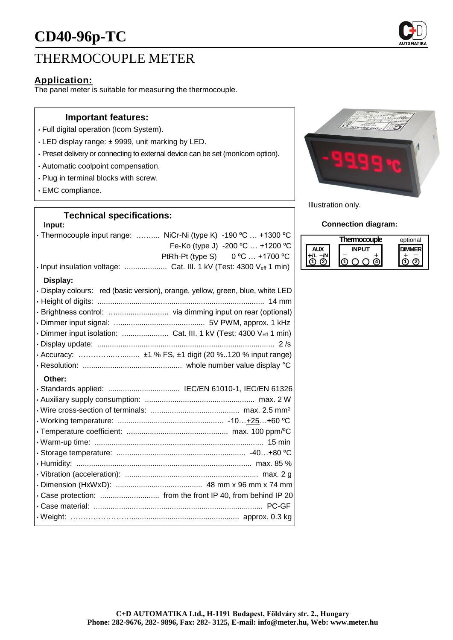# THERMOCOUPLE METER

# **Application:**

The panel meter is suitable for measuring the thermocouple.

## **Important features:**

- Full digital operation (Icom System).
- LED display range: ± 9999, unit marking by LED.
- Preset delivery or connecting to external device can be set (monIcom option).
- Automatic coolpoint compensation.
- Plug in terminal blocks with screw.
- EMC compliance.

## **Technical specifications:**

#### **Input:**

| · Thermocouple input range:  NiCr-Ni (type K) -190 °C  +1300 °C<br>Fe-Ko (type J) -200 °C  +1200 °C<br>PtRh-Pt (type S) 0 °C  +1700 °C |
|----------------------------------------------------------------------------------------------------------------------------------------|
| Display:                                                                                                                               |
| · Display colours: red (basic version), orange, yellow, green, blue, white LED                                                         |
|                                                                                                                                        |
| · Brightness control:  via dimming input on rear (optional)                                                                            |
|                                                                                                                                        |
| · Dimmer input isolation:  Cat. III. 1 kV (Test: 4300 Veff 1 min)                                                                      |
|                                                                                                                                        |
|                                                                                                                                        |
|                                                                                                                                        |
| Other:                                                                                                                                 |
| · Standards applied:  IEC/EN 61010-1, IEC/EN 61326                                                                                     |
|                                                                                                                                        |
|                                                                                                                                        |
|                                                                                                                                        |
|                                                                                                                                        |
|                                                                                                                                        |
|                                                                                                                                        |
|                                                                                                                                        |
|                                                                                                                                        |
|                                                                                                                                        |
| · Case protection:  from the front IP 40, from behind IP 20                                                                            |
|                                                                                                                                        |
|                                                                                                                                        |



Illustration only.

#### **Connection diagram:**

|  | Thermocouple | optional |
|--|--------------|----------|
|  |              |          |
|  |              |          |